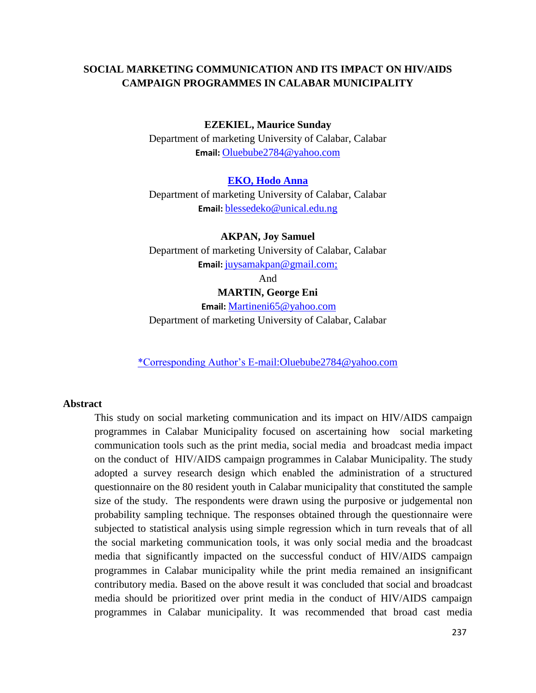## **SOCIAL MARKETING COMMUNICATION AND ITS IMPACT ON HIV/AIDS CAMPAIGN PROGRAMMES IN CALABAR MUNICIPALITY**

#### **EZEKIEL, Maurice Sunday**

Department of marketing University of Calabar, Calabar **Email:** [Oluebube2784@yahoo.com](mailto:Oluebube2784@yahoo.com)

#### **EKO, Hodo Anna**

Department of marketing University of Calabar, Calabar **Email:** [blessedeko@unical.edu.ng](mailto:Martineni65@yahoo.com)

### **AKPAN, Joy Samuel**

Department of marketing University of Calabar, Calabar **Email:** [juysamakpan@gmail.com;](mailto:Oluebube2784@yahoo.com)

And

#### **MARTIN, George Eni**

**Email:** [Martineni65@yahoo.com](mailto:Martineni65@yahoo.com) Department of marketing University of Calabar, Calabar

\*Corresponding Author's E-mail[:Oluebube2784@yahoo.com](mailto:Oluebube2784@yahoo.com)

#### **Abstract**

This study on social marketing communication and its impact on HIV/AIDS campaign programmes in Calabar Municipality focused on ascertaining how social marketing communication tools such as the print media, social media and broadcast media impact on the conduct of HIV/AIDS campaign programmes in Calabar Municipality. The study adopted a survey research design which enabled the administration of a structured questionnaire on the 80 resident youth in Calabar municipality that constituted the sample size of the study. The respondents were drawn using the purposive or judgemental non probability sampling technique. The responses obtained through the questionnaire were subjected to statistical analysis using simple regression which in turn reveals that of all the social marketing communication tools, it was only social media and the broadcast media that significantly impacted on the successful conduct of HIV/AIDS campaign programmes in Calabar municipality while the print media remained an insignificant contributory media. Based on the above result it was concluded that social and broadcast media should be prioritized over print media in the conduct of HIV/AIDS campaign programmes in Calabar municipality. It was recommended that broad cast media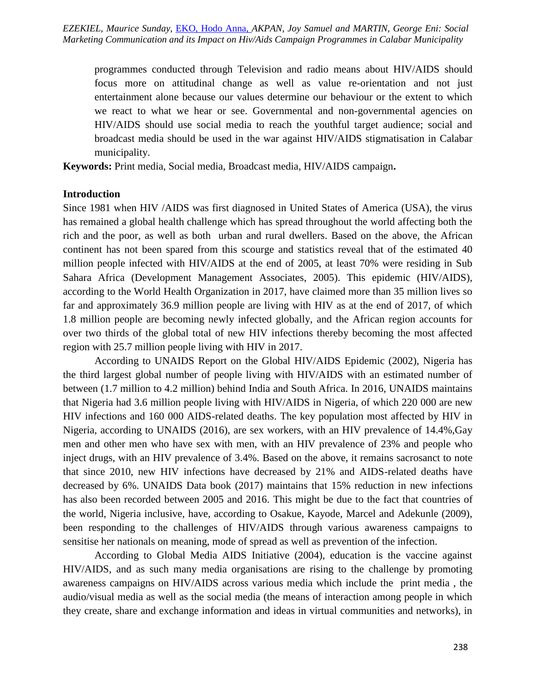programmes conducted through Television and radio means about HIV/AIDS should focus more on attitudinal change as well as value re-orientation and not just entertainment alone because our values determine our behaviour or the extent to which we react to what we hear or see. Governmental and non-governmental agencies on HIV/AIDS should use social media to reach the youthful target audience; social and broadcast media should be used in the war against HIV/AIDS stigmatisation in Calabar municipality.

**Keywords:** Print media, Social media, Broadcast media, HIV/AIDS campaign**.**

### **Introduction**

Since 1981 when HIV /AIDS was first diagnosed in United States of America (USA), the virus has remained a global health challenge which has spread throughout the world affecting both the rich and the poor, as well as both urban and rural dwellers. Based on the above, the African continent has not been spared from this scourge and statistics reveal that of the estimated 40 million people infected with HIV/AIDS at the end of 2005, at least 70% were residing in Sub Sahara Africa (Development Management Associates, 2005). This epidemic (HIV/AIDS), according to the World Health Organization in 2017, have claimed more than 35 million lives so far and approximately 36.9 million people are living with HIV as at the end of 2017, of which 1.8 million people are becoming newly infected globally, and the African region accounts for over two thirds of the global total of new HIV infections thereby becoming the most affected region with 25.7 million people living with HIV in 2017.

According to UNAIDS Report on the Global HIV/AIDS Epidemic (2002), Nigeria has the third largest global number of people living with HIV/AIDS with an estimated number of between (1.7 million to 4.2 million) behind India and South Africa. In 2016, UNAIDS maintains that Nigeria had 3.6 million people living with HIV/AIDS in Nigeria, of which 220 000 are new HIV infections and 160 000 AIDS-related deaths. The key population most affected by HIV in Nigeria, according to UNAIDS (2016), are sex workers, with an HIV prevalence of 14.4%,Gay men and other men who have sex with men, with an HIV prevalence of 23% and people who inject drugs, with an HIV prevalence of 3.4%. Based on the above, it remains sacrosanct to note that since 2010, new HIV infections have decreased by 21% and AIDS-related deaths have decreased by 6%. UNAIDS Data book (2017) maintains that 15% reduction in new infections has also been recorded between 2005 and 2016. This might be due to the fact that countries of the world, Nigeria inclusive, have, according to Osakue, Kayode, Marcel and Adekunle (2009), been responding to the challenges of HIV/AIDS through various awareness campaigns to sensitise her nationals on meaning, mode of spread as well as prevention of the infection.

According to Global Media AIDS Initiative (2004), education is the vaccine against HIV/AIDS, and as such many media organisations are rising to the challenge by promoting awareness campaigns on HIV/AIDS across various media which include the print media , the audio/visual media as well as the social media (the means of interaction among people in which they create, share and exchange information and ideas in virtual communities and networks), in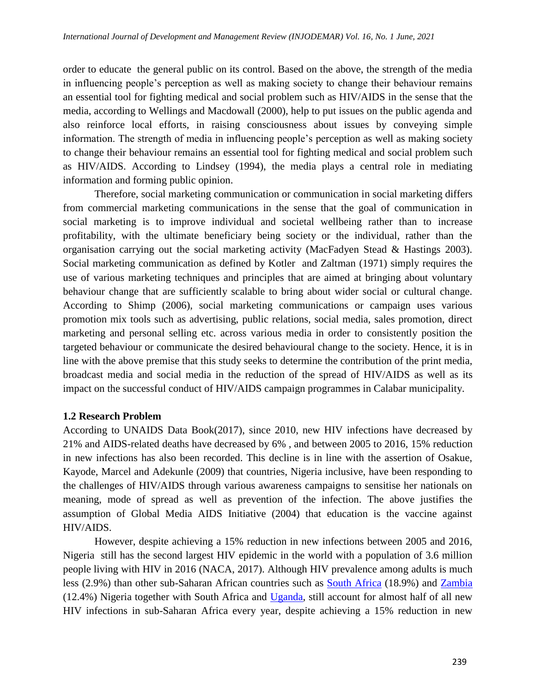order to educate the general public on its control. Based on the above, the strength of the media in influencing people's perception as well as making society to change their behaviour remains an essential tool for fighting medical and social problem such as HIV/AIDS in the sense that the media, according to Wellings and Macdowall (2000), help to put issues on the public agenda and also reinforce local efforts, in raising consciousness about issues by conveying simple information. The strength of media in influencing people's perception as well as making society to change their behaviour remains an essential tool for fighting medical and social problem such as HIV/AIDS. According to Lindsey (1994), the media plays a central role in mediating information and forming public opinion.

Therefore, social marketing communication or communication in social marketing differs from commercial marketing communications in the sense that the goal of communication in social marketing is to improve individual and societal wellbeing rather than to increase profitability, with the ultimate beneficiary being society or the individual, rather than the organisation carrying out the social marketing activity (MacFadyen Stead & Hastings 2003). Social marketing communication as defined by Kotler and Zaltman (1971) simply requires the use of various marketing techniques and principles that are aimed at bringing about voluntary behaviour change that are sufficiently scalable to bring about wider social or cultural change. According to Shimp (2006), social marketing communications or campaign uses various promotion mix tools such as advertising, public relations, social media, sales promotion, direct marketing and personal selling etc. across various media in order to consistently position the targeted behaviour or communicate the desired behavioural change to the society. Hence, it is in line with the above premise that this study seeks to determine the contribution of the print media, broadcast media and social media in the reduction of the spread of HIV/AIDS as well as its impact on the successful conduct of HIV/AIDS campaign programmes in Calabar municipality.

## **1.2 Research Problem**

According to UNAIDS Data Book(2017), since 2010, new HIV infections have decreased by 21% and AIDS-related deaths have decreased by 6% , and between 2005 to 2016, 15% reduction in new infections has also been recorded. This decline is in line with the assertion of Osakue, Kayode, Marcel and Adekunle (2009) that countries, Nigeria inclusive, have been responding to the challenges of HIV/AIDS through various awareness campaigns to sensitise her nationals on meaning, mode of spread as well as prevention of the infection. The above justifies the assumption of Global Media AIDS Initiative (2004) that education is the vaccine against HIV/AIDS.

However, despite achieving a 15% reduction in new infections between 2005 and 2016, Nigeria still has the second largest HIV epidemic in the world with a population of 3.6 million people living with HIV in 2016 (NACA, 2017). Although HIV prevalence among adults is much less (2.9%) than other sub-Saharan African countries such as [South Africa](file:///C:/node/404) (18.9%) and [Zambia](file:///C:/node/408) (12.4%) Nigeria together with South Africa and [Uganda,](file:///C:/node/407) still account for almost half of all new HIV infections in sub-Saharan Africa every year, despite achieving a 15% reduction in new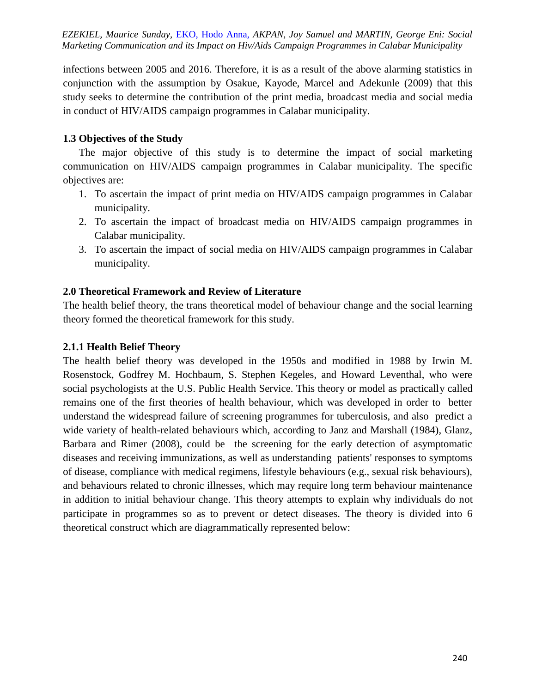EZEKIEL, Maurice Sunday, EKO, Hodo Anna, AKPAN, Joy Samuel and MARTIN, George Eni: Social *Marketing Communication and its Impact on Hiv/Aids Campaign Programmes in Calabar Municipality*

infections between 2005 and 2016. Therefore, it is as a result of the above alarming statistics in conjunction with the assumption by Osakue, Kayode, Marcel and Adekunle (2009) that this study seeks to determine the contribution of the print media, broadcast media and social media in conduct of HIV/AIDS campaign programmes in Calabar municipality.

### **1.3 Objectives of the Study**

The major objective of this study is to determine the impact of social marketing communication on HIV/AIDS campaign programmes in Calabar municipality. The specific objectives are:

- 1. To ascertain the impact of print media on HIV/AIDS campaign programmes in Calabar municipality.
- 2. To ascertain the impact of broadcast media on HIV/AIDS campaign programmes in Calabar municipality.
- 3. To ascertain the impact of social media on HIV/AIDS campaign programmes in Calabar municipality.

### **2.0 Theoretical Framework and Review of Literature**

The health belief theory, the trans theoretical model of behaviour change and the social learning theory formed the theoretical framework for this study.

### **2.1.1 Health Belief Theory**

The health belief theory was developed in the 1950s and modified in 1988 by Irwin M. Rosenstock, Godfrey M. Hochbaum, S. Stephen Kegeles, and Howard Leventhal, who were social psychologists at the U.S. Public Health Service. This theory or model as practically called remains one of the first theories of health behaviour, which was developed in order to better understand the widespread failure of screening programmes for tuberculosis, and also predict a wide variety of health-related behaviours which, according to Janz and Marshall (1984), Glanz, Barbara and Rimer (2008), could be the screening for the early detection of asymptomatic diseases and receiving immunizations, as well as understanding patients' responses to symptoms of disease, compliance with medical regimens, lifestyle behaviours (e.g., sexual risk behaviours), and behaviours related to chronic illnesses, which may require long term behaviour maintenance in addition to initial behaviour change. This theory attempts to explain why individuals do not participate in programmes so as to prevent or detect diseases. The theory is divided into 6 theoretical construct which are diagrammatically represented below: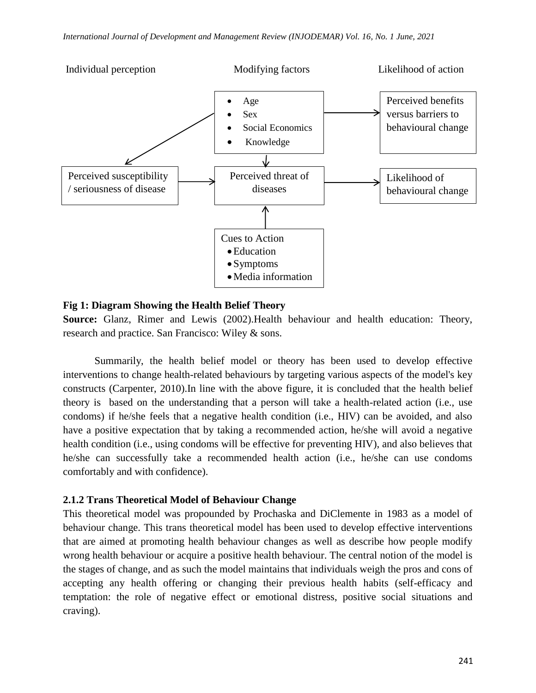

### **Fig 1: Diagram Showing the Health Belief Theory**

**Source:** Glanz, Rimer and Lewis (2002).Health behaviour and health education: Theory, research and practice. San Francisco: Wiley & sons.

Summarily, the health belief model or theory has been used to develop effective interventions to change health-related behaviours by targeting various aspects of the model's key constructs (Carpenter, 2010).In line with the above figure, it is concluded that the health belief theory is based on the understanding that a person will take a health-related action (i.e., use condoms) if he/she feels that a negative health condition (i.e., HIV) can be avoided, and also have a positive expectation that by taking a recommended action, he/she will avoid a negative health condition (i.e., using condoms will be effective for preventing HIV), and also believes that he/she can successfully take a recommended health action (i.e., he/she can use condoms comfortably and with confidence).

## **2.1.2 Trans Theoretical Model of Behaviour Change**

This theoretical model was propounded by Prochaska and DiClemente in 1983 as a model of behaviour change. This trans theoretical model has been used to develop effective interventions that are aimed at promoting health behaviour changes as well as describe how people modify wrong health behaviour or acquire a positive health behaviour. The central notion of the model is the stages of change, and as such the model maintains that individuals weigh the pros and cons of accepting any health offering or changing their previous health habits (self-efficacy and temptation: the role of negative effect or emotional distress, positive social situations and craving).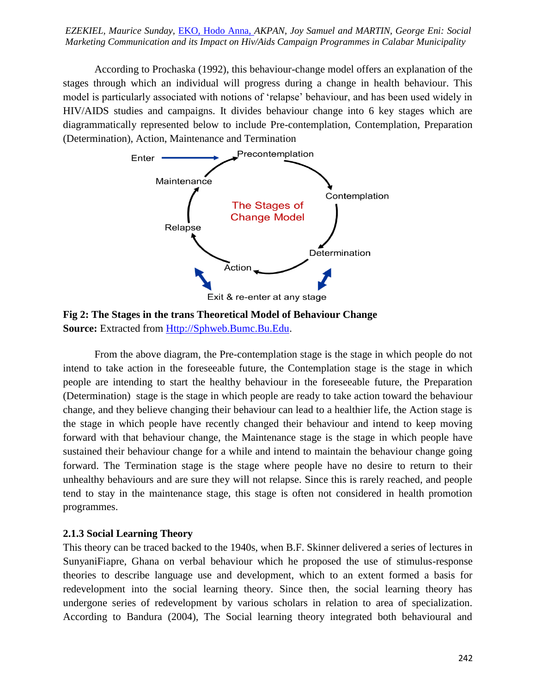*International Journal of Development and Management Review (INJODEMAR) Vol. 16, No. 1 June, 2021 Marketing Communication and its Impact on Hiv/Aids Campaign Programmes in Calabar Municipality EZEKIEL, Maurice Sunday,* EKO, Hodo Anna, *AKPAN, Joy Samuel and MARTIN, George Eni: Social* 

According to Prochaska (1992), this behaviour-change model offers an explanation of the stages through which an individual will progress during a change in health behaviour. This model is particularly associated with notions of ‗relapse' behaviour, and has been used widely in HIV/AIDS studies and campaigns. It divides behaviour change into 6 key stages which are diagrammatically represented below to include Pre-contemplation, Contemplation, Preparation (Determination), Action, Maintenance and Termination



**Fig 2: The Stages in the trans Theoretical Model of Behaviour Change Source:** Extracted from [Http://Sphweb.Bumc.Bu.Edu.](http://sphweb.bumc.bu.edu/)

From the above diagram, the Pre-contemplation stage is the stage in which people do not intend to take action in the foreseeable future, the Contemplation stage is the stage in which people are intending to start the healthy behaviour in the foreseeable future, the Preparation (Determination) stage is the stage in which people are ready to take action toward the behaviour change, and they believe changing their behaviour can lead to a healthier life, the Action stage is the stage in which people have recently changed their behaviour and intend to keep moving forward with that behaviour change, the Maintenance stage is the stage in which people have sustained their behaviour change for a while and intend to maintain the behaviour change going forward. The Termination stage is the stage where people have no desire to return to their unhealthy behaviours and are sure they will not relapse. Since this is rarely reached, and people tend to stay in the maintenance stage, this stage is often not considered in health promotion programmes.

### **2.1.3 Social Learning Theory**

This theory can be traced backed to the 1940s, when B.F. Skinner delivered a series of lectures in SunyaniFiapre, Ghana on verbal behaviour which he proposed the use of stimulus-response theories to describe language use and development, which to an extent formed a basis for redevelopment into the social learning theory. Since then, the social learning theory has undergone series of redevelopment by various scholars in relation to area of specialization. According to Bandura (2004), The Social learning theory integrated both behavioural and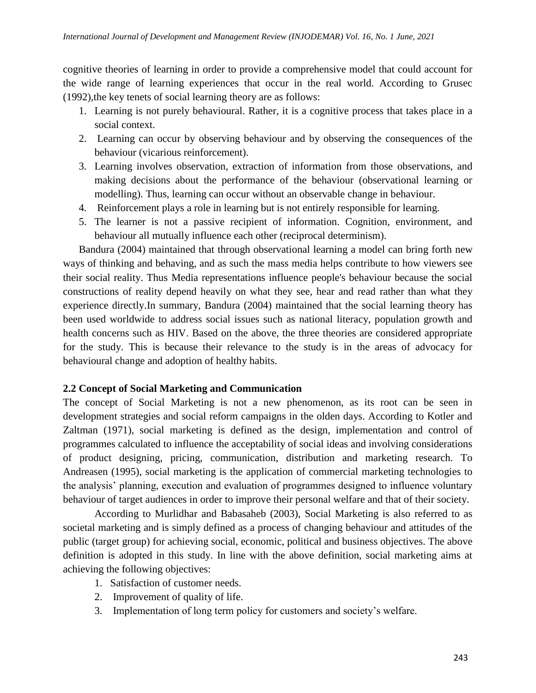cognitive theories of learning in order to provide a comprehensive model that could account for the wide range of learning experiences that occur in the real world. According to Grusec (1992),the key tenets of social learning theory are as follows:

- 1. Learning is not purely behavioural. Rather, it is a cognitive process that takes place in a social context.
- 2. Learning can occur by observing behaviour and by observing the consequences of the behaviour (vicarious reinforcement).
- 3. Learning involves observation, extraction of information from those observations, and making decisions about the performance of the behaviour (observational learning or modelling). Thus, learning can occur without an observable change in behaviour.
- 4. Reinforcement plays a role in learning but is not entirely responsible for learning.
- 5. The learner is not a passive recipient of information. Cognition, environment, and behaviour all mutually influence each other (reciprocal determinism).

Bandura (2004) maintained that through observational learning a model can bring forth new ways of thinking and behaving, and as such the mass media helps contribute to how viewers see their social reality. Thus Media representations influence people's behaviour because the social constructions of reality depend heavily on what they see, hear and read rather than what they experience directly.In summary, Bandura (2004) maintained that the social learning theory has been used worldwide to address social issues such as national literacy, population growth and health concerns such as HIV. Based on the above, the three theories are considered appropriate for the study. This is because their relevance to the study is in the areas of advocacy for behavioural change and adoption of healthy habits.

## **2.2 Concept of Social Marketing and Communication**

The concept of Social Marketing is not a new phenomenon, as its root can be seen in development strategies and social reform campaigns in the olden days. According to Kotler and Zaltman (1971), social marketing is defined as the design, implementation and control of programmes calculated to influence the acceptability of social ideas and involving considerations of product designing, pricing, communication, distribution and marketing research. To Andreasen (1995), social marketing is the application of commercial marketing technologies to the analysis' planning, execution and evaluation of programmes designed to influence voluntary behaviour of target audiences in order to improve their personal welfare and that of their society.

According to Murlidhar and Babasaheb (2003), Social Marketing is also referred to as societal marketing and is simply defined as a process of changing behaviour and attitudes of the public (target group) for achieving social, economic, political and business objectives. The above definition is adopted in this study. In line with the above definition, social marketing aims at achieving the following objectives:

- 1. Satisfaction of customer needs.
- 2. Improvement of quality of life.
- 3. Implementation of long term policy for customers and society's welfare.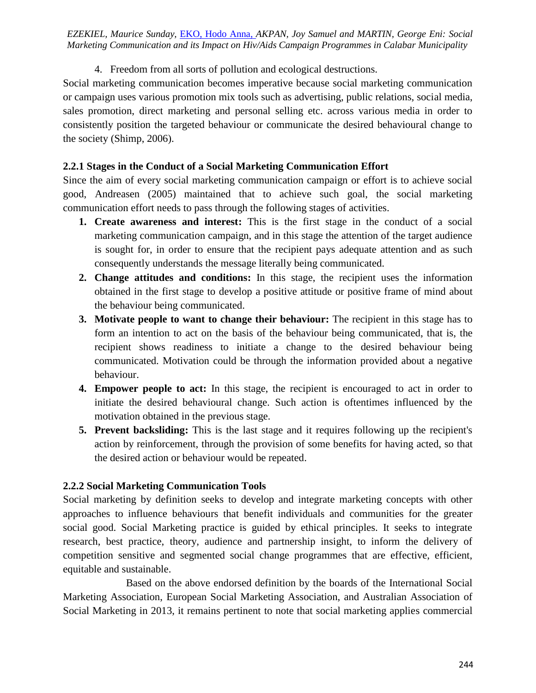# 4. Freedom from all sorts of pollution and ecological destructions.

Social marketing communication becomes imperative because social marketing communication or campaign uses various promotion mix tools such as advertising, public relations, social media, sales promotion, direct marketing and personal selling etc. across various media in order to consistently position the targeted behaviour or communicate the desired behavioural change to the society (Shimp, 2006).

# **2.2.1 Stages in the Conduct of a Social Marketing Communication Effort**

Since the aim of every social marketing communication campaign or effort is to achieve social good, Andreasen (2005) maintained that to achieve such goal, the social marketing communication effort needs to pass through the following stages of activities.

- **1. Create awareness and interest:** This is the first stage in the conduct of a social marketing communication campaign, and in this stage the attention of the target audience is sought for, in order to ensure that the recipient pays adequate attention and as such consequently understands the message literally being communicated.
- **2. Change attitudes and conditions:** In this stage, the recipient uses the information obtained in the first stage to develop a positive attitude or positive frame of mind about the behaviour being communicated.
- **3. Motivate people to want to change their behaviour:** The recipient in this stage has to form an intention to act on the basis of the behaviour being communicated, that is, the recipient shows readiness to initiate a change to the desired behaviour being communicated. Motivation could be through the information provided about a negative behaviour.
- **4. Empower people to act:** In this stage, the recipient is encouraged to act in order to initiate the desired behavioural change. Such action is oftentimes influenced by the motivation obtained in the previous stage.
- **5. Prevent backsliding:** This is the last stage and it requires following up the recipient's action by reinforcement, through the provision of some benefits for having acted, so that the desired action or behaviour would be repeated.

# **2.2.2 Social Marketing Communication Tools**

Social marketing by definition seeks to develop and integrate marketing concepts with other approaches to influence behaviours that benefit individuals and communities for the greater social good. Social Marketing practice is guided by ethical principles. It seeks to integrate research, best practice, theory, audience and partnership insight, to inform the delivery of competition sensitive and segmented social change programmes that are effective, efficient, equitable and sustainable.

Based on the above endorsed definition by the boards of the International Social Marketing Association, European Social Marketing Association, and Australian Association of Social Marketing in 2013, it remains pertinent to note that social marketing applies commercial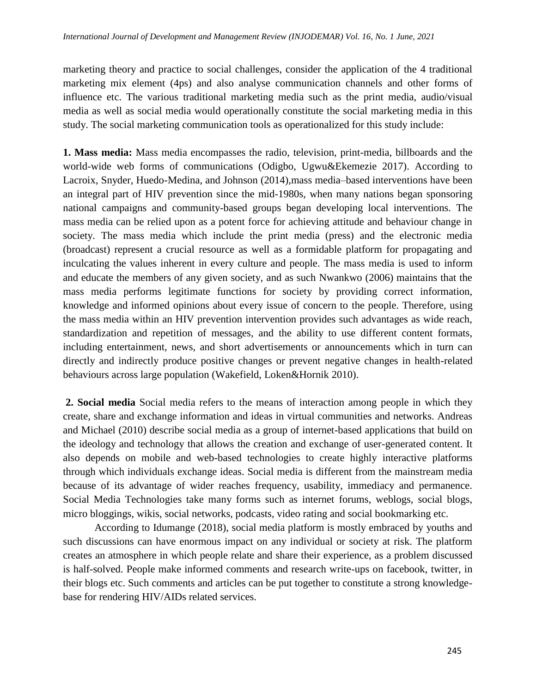marketing theory and practice to social challenges, consider the application of the 4 traditional marketing mix element (4ps) and also analyse communication channels and other forms of influence etc. The various traditional marketing media such as the print media, audio/visual media as well as social media would operationally constitute the social marketing media in this study. The social marketing communication tools as operationalized for this study include:

**1. Mass media:** Mass media encompasses the radio, television, print-media, billboards and the world-wide web forms of communications (Odigbo, Ugwu&Ekemezie 2017). According to Lacroix, Snyder, Huedo-Medina, and Johnson (2014),mass media–based interventions have been an integral part of HIV prevention since the mid-1980s, when many nations began sponsoring national campaigns and community-based groups began developing local interventions. The mass media can be relied upon as a potent force for achieving attitude and behaviour change in society. The mass media which include the print media (press) and the electronic media (broadcast) represent a crucial resource as well as a formidable platform for propagating and inculcating the values inherent in every culture and people. The mass media is used to inform and educate the members of any given society, and as such Nwankwo (2006) maintains that the mass media performs legitimate functions for society by providing correct information, knowledge and informed opinions about every issue of concern to the people. Therefore, using the mass media within an HIV prevention intervention provides such advantages as wide reach, standardization and repetition of messages, and the ability to use different content formats, including entertainment, news, and short advertisements or announcements which in turn can directly and indirectly produce positive changes or prevent negative changes in health-related behaviours across large population (Wakefield, Loken&Hornik 2010).

**2. Social media** Social media refers to the means of interaction among people in which they create, share and exchange information and ideas in virtual communities and networks. Andreas and Michael (2010) describe social media as a group of internet-based applications that build on the ideology and technology that allows the creation and exchange of user-generated content. It also depends on mobile and web-based technologies to create highly interactive platforms through which individuals exchange ideas. Social media is different from the mainstream media because of its advantage of wider reaches frequency, usability, immediacy and permanence. Social Media Technologies take many forms such as internet forums, weblogs, social blogs, micro bloggings, wikis, social networks, podcasts, video rating and social bookmarking etc.

According to Idumange (2018), social media platform is mostly embraced by youths and such discussions can have enormous impact on any individual or society at risk. The platform creates an atmosphere in which people relate and share their experience, as a problem discussed is half-solved. People make informed comments and research write-ups on facebook, twitter, in their blogs etc. Such comments and articles can be put together to constitute a strong knowledgebase for rendering HIV/AIDs related services.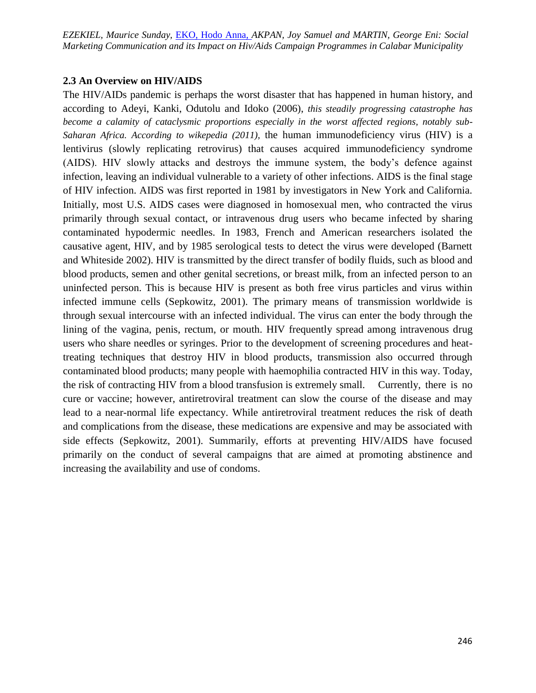*EZEKIEL, Maurice Sunday, EKO, Hodo Anna, AKPAN, Joy Samuel and MARTIN, George Eni: Social* Marketing Communication and its Impact on Hiv/Aids Campaign Programmes in Calabar Municipality

#### **2.3 An Overview on HIV/AIDS**

The HIV/AIDs pandemic is perhaps the worst disaster that has happened in human history, and according to Adeyi, Kanki, Odutolu and Idoko (2006), *this steadily progressing catastrophe has become a calamity of cataclysmic proportions especially in the worst affected regions, notably sub-Saharan Africa. According to wikepedia (2011),* the human immunodeficiency virus (HIV) is a lentivirus (slowly replicating retrovirus) that causes acquired immunodeficiency syndrome (AIDS). HIV slowly attacks and destroys the immune system, the body's defence against infection, leaving an individual vulnerable to a variety of other infections. AIDS is the final stage of HIV infection. AIDS was first reported in 1981 by investigators in New York and California. Initially, most U.S. AIDS cases were diagnosed in homosexual men, who contracted the virus primarily through sexual contact, or intravenous drug users who became infected by sharing contaminated hypodermic needles. In 1983, French and American researchers isolated the causative agent, HIV, and by 1985 serological tests to detect the virus were developed (Barnett and Whiteside 2002). HIV is transmitted by the direct transfer of bodily fluids, such as blood and blood products, semen and other genital secretions, or breast milk, from an infected person to an uninfected person. This is because HIV is present as both free virus particles and virus within infected immune cells (Sepkowitz, 2001). The primary means of transmission worldwide is through sexual intercourse with an infected individual. The virus can enter the body through the lining of the vagina, penis, rectum, or mouth. HIV frequently spread among intravenous drug users who share needles or syringes. Prior to the development of screening procedures and heattreating techniques that destroy HIV in blood products, transmission also occurred through contaminated blood products; many people with haemophilia contracted HIV in this way. Today, the risk of contracting HIV from a blood transfusion is extremely small. Currently, there is no cure or vaccine; however, antiretroviral treatment can slow the course of the disease and may lead to a near-normal life expectancy. While antiretroviral treatment reduces the risk of death and complications from the disease, these medications are expensive and may be associated with side effects (Sepkowitz, 2001). Summarily, efforts at preventing HIV/AIDS have focused primarily on the conduct of several campaigns that are aimed at promoting abstinence and increasing the availability and use of condoms.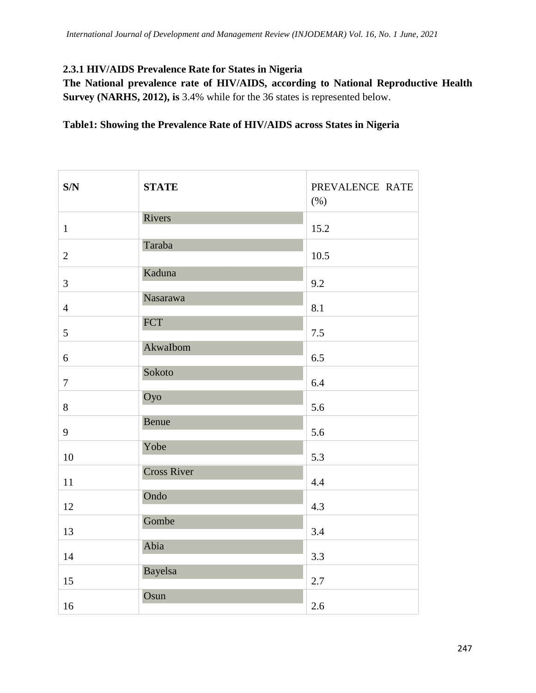# **2.3.1 HIV/AIDS Prevalence Rate for States in Nigeria**

**The National prevalence rate of HIV/AIDS, according to National Reproductive Health Survey (NARHS, 2012), is** 3.4% while for the 36 states is represented below.

## **Table1: Showing the Prevalence Rate of HIV/AIDS across States in Nigeria**

| S/N            | <b>STATE</b>       | PREVALENCE RATE<br>$(\% )$ |
|----------------|--------------------|----------------------------|
| $\mathbf{1}$   | Rivers             | 15.2                       |
| $\overline{2}$ | Taraba             | 10.5                       |
| 3              | Kaduna             | 9.2                        |
| $\overline{4}$ | Nasarawa           | 8.1                        |
| 5              | <b>FCT</b>         | 7.5                        |
| 6              | AkwaIbom           | 6.5                        |
| $\tau$         | Sokoto             | 6.4                        |
| $8\,$          | Oyo                | 5.6                        |
| 9              | Benue              | 5.6                        |
| 10             | Yobe               | 5.3                        |
| 11             | <b>Cross River</b> | 4.4                        |
| 12             | Ondo               | 4.3                        |
| 13             | Gombe              | 3.4                        |
| 14             | Abia               | 3.3                        |
| 15             | <b>Bayelsa</b>     | $2.7\,$                    |
| 16             | Osun               | 2.6                        |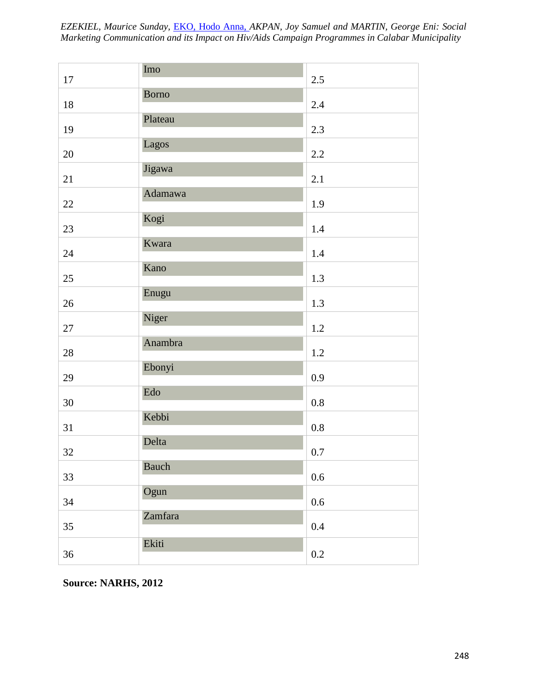*International Journal of Development and Management Review (INJODEMAR) Vol. 16, No. 1 June, 2021 EZEKIEL, Maurice Sunday,* EKO, Hodo Anna, *AKPAN, Joy Samuel and MARTIN, George Eni: Social Marketing Communication and its Impact on Hiv/Aids Campaign Programmes in Calabar Municipality*

|        | Imo          |         |
|--------|--------------|---------|
| 17     |              | 2.5     |
| $18\,$ | <b>Borno</b> | 2.4     |
| 19     | Plateau      | 2.3     |
| $20\,$ | Lagos        | 2.2     |
| 21     | Jigawa       | 2.1     |
| $22\,$ | Adamawa      | 1.9     |
| 23     | Kogi         | 1.4     |
| 24     | Kwara        | 1.4     |
| 25     | Kano         | $1.3\,$ |
| $26\,$ | Enugu        | 1.3     |
| 27     | Niger        | 1.2     |
| $28\,$ | Anambra      | $1.2\,$ |
| 29     | Ebonyi       | 0.9     |
| 30     | Edo          | $0.8\,$ |
| 31     | Kebbi        | $0.8\,$ |
| 32     | Delta        | $0.7\,$ |
| 33     | Bauch        | $0.6\,$ |
| 34     | Ogun         | $0.6\,$ |
| 35     | Zamfara      | $0.4\,$ |
| 36     | Ekiti        | $0.2\,$ |

**Source: NARHS, 2012**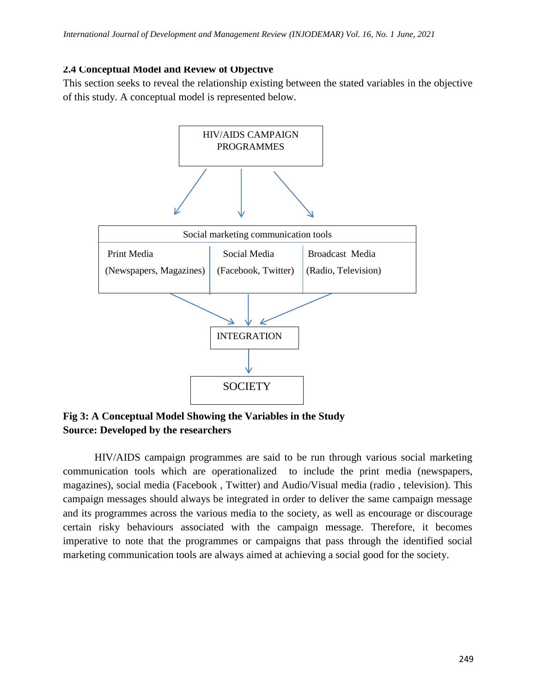## **2.4 Conceptual Model and Review of Objective**

This section seeks to reveal the relationship existing between the stated variables in the objective of this study. A conceptual model is represented below.



**Fig 3: A Conceptual Model Showing the Variables in the Study Source: Developed by the researchers**

HIV/AIDS campaign programmes are said to be run through various social marketing communication tools which are operationalized to include the print media (newspapers, magazines), social media (Facebook , Twitter) and Audio/Visual media (radio , television). This campaign messages should always be integrated in order to deliver the same campaign message and its programmes across the various media to the society, as well as encourage or discourage certain risky behaviours associated with the campaign message. Therefore, it becomes imperative to note that the programmes or campaigns that pass through the identified social marketing communication tools are always aimed at achieving a social good for the society.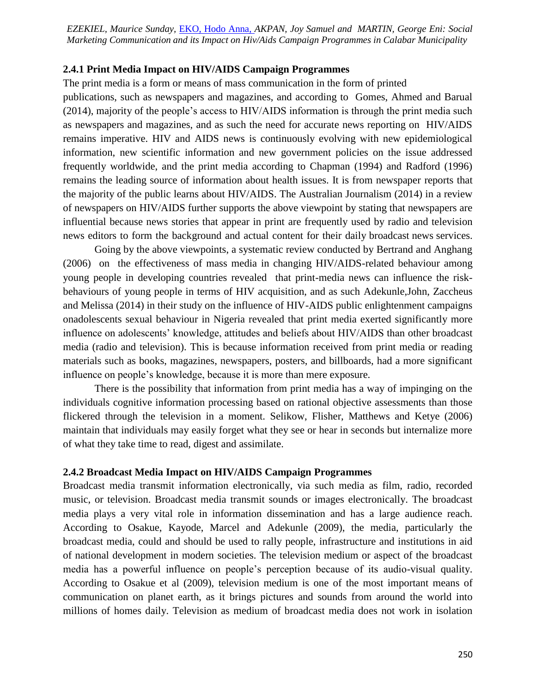*Marketing Communication and its Impact on Hiv/Aids Campaign Programmes in Calabar Municipality EZEKIEL, Maurice Sunday,* EKO, Hodo Anna, *AKPAN, Joy Samuel and MARTIN, George Eni: Social* 

#### **2.4.1 Print Media Impact on HIV/AIDS Campaign Programmes**

The print media is a form or means of mass communication in the form of printed

publications, such as newspapers and magazines, and according to Gomes, Ahmed and Barual (2014), majority of the people's access to HIV/AIDS information is through the print media such as newspapers and magazines, and as such the need for accurate news reporting on HIV/AIDS remains imperative. HIV and AIDS news is continuously evolving with new epidemiological information, new scientific information and new government policies on the issue addressed frequently worldwide, and the print media according to Chapman (1994) and Radford (1996) remains the leading source of information about health issues. It is from newspaper reports that the majority of the public learns about HIV/AIDS. The Australian Journalism (2014) in a review of newspapers on HIV/AIDS further supports the above viewpoint by stating that newspapers are influential because news stories that appear in print are frequently used by radio and television news editors to form the background and actual content for their daily broadcast news services.

Going by the above viewpoints, a systematic review conducted by Bertrand and Anghang (2006) on the effectiveness of mass media in changing HIV/AIDS-related behaviour among young people in developing countries revealed that print-media news can influence the riskbehaviours of young people in terms of HIV acquisition, and as such Adekunle,John, Zaccheus and Melissa (2014) in their study on the influence of HIV-AIDS public enlightenment campaigns onadolescents sexual behaviour in Nigeria revealed that print media exerted significantly more influence on adolescents' knowledge, attitudes and beliefs about HIV/AIDS than other broadcast media (radio and television). This is because information received from print media or reading materials such as books, magazines, newspapers, posters, and billboards, had a more significant influence on people's knowledge, because it is more than mere exposure.

There is the possibility that information from print media has a way of impinging on the individuals cognitive information processing based on rational objective assessments than those flickered through the television in a moment. Selikow, Flisher, Matthews and Ketye (2006) maintain that individuals may easily forget what they see or hear in seconds but internalize more of what they take time to read, digest and assimilate.

#### **2.4.2 Broadcast Media Impact on HIV/AIDS Campaign Programmes**

Broadcast media transmit information electronically, via such media as film, radio, recorded music, or television. Broadcast media transmit sounds or images electronically. The broadcast media plays a very vital role in information dissemination and has a large audience reach. According to Osakue, Kayode, Marcel and Adekunle (2009), the media, particularly the broadcast media, could and should be used to rally people, infrastructure and institutions in aid of national development in modern societies. The television medium or aspect of the broadcast media has a powerful influence on people's perception because of its audio-visual quality. According to Osakue et al (2009), television medium is one of the most important means of communication on planet earth, as it brings pictures and sounds from around the world into millions of homes daily. Television as medium of broadcast media does not work in isolation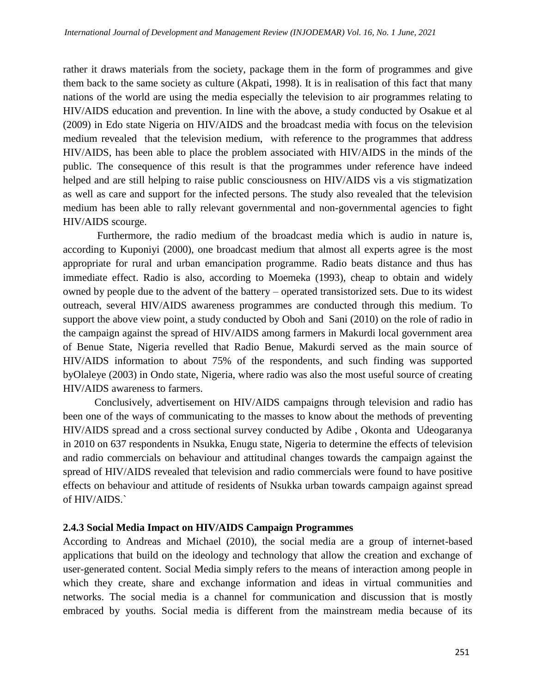rather it draws materials from the society, package them in the form of programmes and give them back to the same society as culture (Akpati, 1998). It is in realisation of this fact that many nations of the world are using the media especially the television to air programmes relating to HIV/AIDS education and prevention. In line with the above, a study conducted by Osakue et al (2009) in Edo state Nigeria on HIV/AIDS and the broadcast media with focus on the television medium revealed that the television medium, with reference to the programmes that address HIV/AIDS, has been able to place the problem associated with HIV/AIDS in the minds of the public. The consequence of this result is that the programmes under reference have indeed helped and are still helping to raise public consciousness on HIV/AIDS vis a vis stigmatization as well as care and support for the infected persons. The study also revealed that the television medium has been able to rally relevant governmental and non-governmental agencies to fight HIV/AIDS scourge.

Furthermore, the radio medium of the broadcast media which is audio in nature is, according to Kuponiyi (2000), one broadcast medium that almost all experts agree is the most appropriate for rural and urban emancipation programme. Radio beats distance and thus has immediate effect. Radio is also, according to Moemeka (1993), cheap to obtain and widely owned by people due to the advent of the battery – operated transistorized sets. Due to its widest outreach, several HIV/AIDS awareness programmes are conducted through this medium. To support the above view point, a study conducted by Oboh and Sani (2010) on the role of radio in the campaign against the spread of HIV/AIDS among farmers in Makurdi local government area of Benue State, Nigeria revelled that Radio Benue, Makurdi served as the main source of HIV/AIDS information to about 75% of the respondents, and such finding was supported byOlaleye (2003) in Ondo state, Nigeria, where radio was also the most useful source of creating HIV/AIDS awareness to farmers.

Conclusively, advertisement on HIV/AIDS campaigns through television and radio has been one of the ways of communicating to the masses to know about the methods of preventing HIV/AIDS spread and a cross sectional survey conducted by Adibe , Okonta and Udeogaranya in 2010 on 637 respondents in Nsukka, Enugu state, Nigeria to determine the effects of television and radio commercials on behaviour and attitudinal changes towards the campaign against the spread of HIV/AIDS revealed that television and radio commercials were found to have positive effects on behaviour and attitude of residents of Nsukka urban towards campaign against spread of HIV/AIDS.`

### **2.4.3 Social Media Impact on HIV/AIDS Campaign Programmes**

According to Andreas and Michael (2010), the social media are a group of internet-based applications that build on the ideology and technology that allow the creation and exchange of user-generated content. Social Media simply refers to the means of interaction among people in which they create, share and exchange information and ideas in virtual communities and networks. The social media is a channel for communication and discussion that is mostly embraced by youths. Social media is different from the mainstream media because of its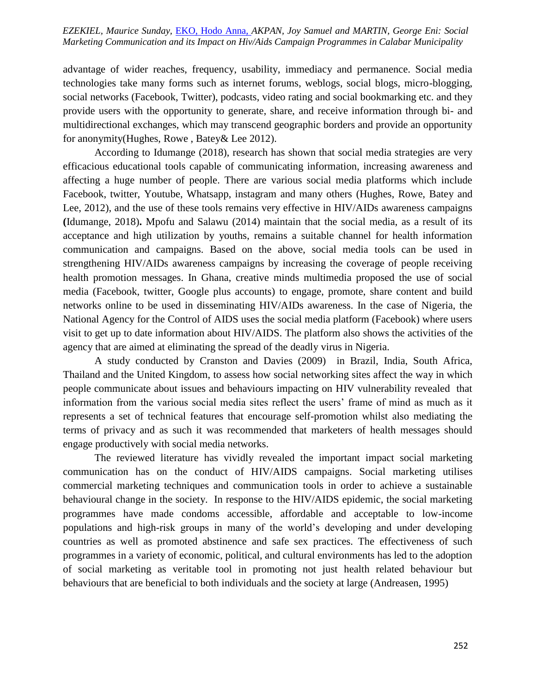*International Journal of Development and Management Review (INJODEMAR) Vol. 16, No. 1 June, 2021 Marketing Communication and its Impact on Hiv/Aids Campaign Programmes in Calabar Municipality EZEKIEL, Maurice Sunday,* EKO, Hodo Anna, *AKPAN, Joy Samuel and MARTIN, George Eni: Social* 

advantage of wider reaches, frequency, usability, immediacy and permanence. Social media technologies take many forms such as internet forums, weblogs, social blogs, micro-blogging, social networks (Facebook, Twitter), podcasts, video rating and social bookmarking etc. and they provide users with the opportunity to generate, share, and receive information through bi- and multidirectional exchanges, which may transcend geographic borders and provide an opportunity for anonymity(Hughes, Rowe , Batey& Lee 2012).

According to Idumange (2018), research has shown that social media strategies are very efficacious educational tools capable of communicating information, increasing awareness and affecting a huge number of people. There are various social media platforms which include Facebook, twitter, Youtube, Whatsapp, instagram and many others (Hughes, Rowe, Batey and Lee, 2012), and the use of these tools remains very effective in HIV/AIDs awareness campaigns **(**Idumange, 2018)**.** Mpofu and Salawu (2014) maintain that the social media, as a result of its acceptance and high utilization by youths, remains a suitable channel for health information communication and campaigns. Based on the above, social media tools can be used in strengthening HIV/AIDs awareness campaigns by increasing the coverage of people receiving health promotion messages. In Ghana, creative minds multimedia proposed the use of social media (Facebook, twitter, Google plus accounts) to engage, promote, share content and build networks online to be used in disseminating HIV/AIDs awareness. In the case of Nigeria, the National Agency for the Control of AIDS uses the social media platform (Facebook) where users visit to get up to date information about HIV/AIDS. The platform also shows the activities of the agency that are aimed at eliminating the spread of the deadly virus in Nigeria.

A study conducted by Cranston and Davies (2009) in Brazil, India, South Africa, Thailand and the United Kingdom, to assess how social networking sites affect the way in which people communicate about issues and behaviours impacting on HIV vulnerability revealed that information from the various social media sites reflect the users' frame of mind as much as it represents a set of technical features that encourage self-promotion whilst also mediating the terms of privacy and as such it was recommended that marketers of health messages should engage productively with social media networks.

The reviewed literature has vividly revealed the important impact social marketing communication has on the conduct of HIV/AIDS campaigns. Social marketing utilises commercial marketing techniques and communication tools in order to achieve a sustainable behavioural change in the society. In response to the HIV/AIDS epidemic, the social marketing programmes have made condoms accessible, affordable and acceptable to low-income populations and high-risk groups in many of the world's developing and under developing countries as well as promoted abstinence and safe sex practices. The effectiveness of such programmes in a variety of economic, political, and cultural environments has led to the adoption of social marketing as veritable tool in promoting not just health related behaviour but behaviours that are beneficial to both individuals and the society at large (Andreasen, 1995)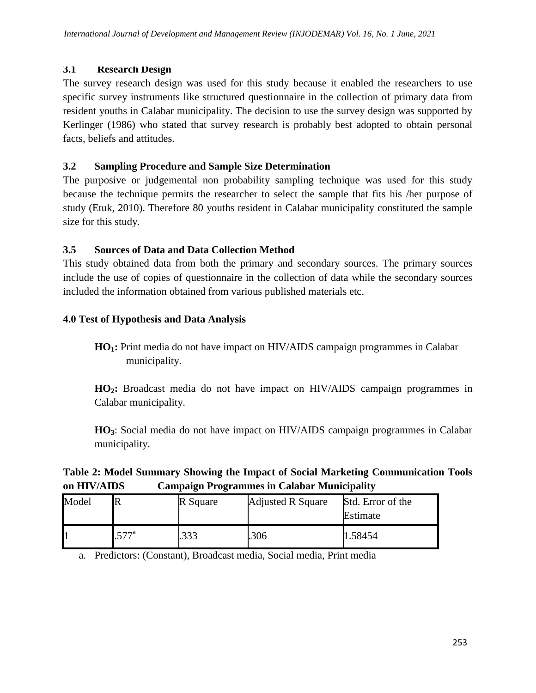## **3.1 Research Design**

The survey research design was used for this study because it enabled the researchers to use specific survey instruments like structured questionnaire in the collection of primary data from resident youths in Calabar municipality. The decision to use the survey design was supported by Kerlinger (1986) who stated that survey research is probably best adopted to obtain personal facts, beliefs and attitudes.

## **3.2 Sampling Procedure and Sample Size Determination**

The purposive or judgemental non probability sampling technique was used for this study because the technique permits the researcher to select the sample that fits his /her purpose of study (Etuk, 2010). Therefore 80 youths resident in Calabar municipality constituted the sample size for this study.

## **3.5 Sources of Data and Data Collection Method**

This study obtained data from both the primary and secondary sources. The primary sources include the use of copies of questionnaire in the collection of data while the secondary sources included the information obtained from various published materials etc.

## **4.0 Test of Hypothesis and Data Analysis**

**HO1:** Print media do not have impact on HIV/AIDS campaign programmes in Calabar municipality.

**HO2:** Broadcast media do not have impact on HIV/AIDS campaign programmes in Calabar municipality.

**HO3**: Social media do not have impact on HIV/AIDS campaign programmes in Calabar municipality.

## **Table 2: Model Summary Showing the Impact of Social Marketing Communication Tools on HIV/AIDS Campaign Programmes in Calabar Municipality**

| Model |         | R Square | <b>Adjusted R Square</b> | Std. Error of the<br>Estimate |
|-------|---------|----------|--------------------------|-------------------------------|
|       | $577^a$ | .333     | .306                     | 1.58454                       |

a. Predictors: (Constant), Broadcast media, Social media, Print media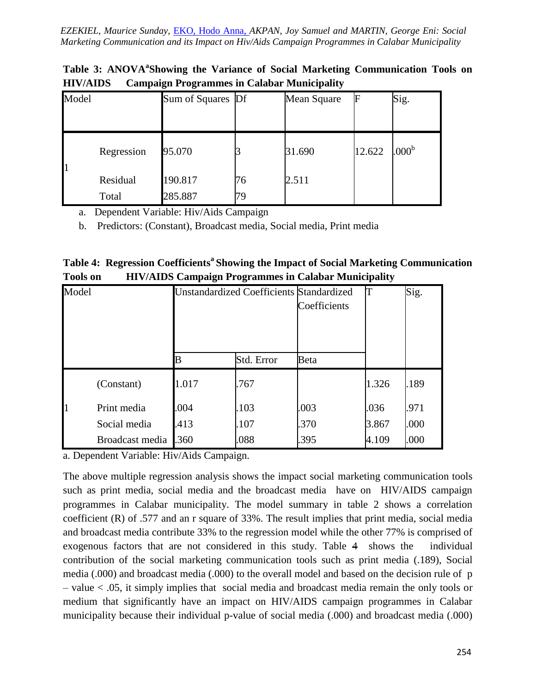*International Journal of Development and Management Review (INJODEMAR) Vol. 16, No. 1 June, 2021 Marketing Communication and its Impact on Hiv/Aids Campaign Programmes in Calabar Municipality EZEKIEL, Maurice Sunday,* EKO, Hodo Anna, *AKPAN, Joy Samuel and MARTIN, George Eni: Social* 

| Model |            | Sum of Squares Df |    | Mean Square | F      | Sig.              |
|-------|------------|-------------------|----|-------------|--------|-------------------|
|       |            |                   |    |             |        |                   |
|       | Regression | 95.070            |    | 31.690      | 12.622 | .000 <sup>b</sup> |
|       | Residual   | 190.817           | 76 | 2.511       |        |                   |
|       | Total      | 285.887           | 79 |             |        |                   |

Table 3: ANOVA<sup>a</sup>Showing the Variance of Social Marketing Communication Tools on **HIV/AIDS Campaign Programmes in Calabar Municipality**

a. Dependent Variable: Hiv/Aids Campaign

b. Predictors: (Constant), Broadcast media, Social media, Print media

|                 | Table 4: Regression Coefficients <sup>a</sup> Showing the Impact of Social Marketing Communication |
|-----------------|----------------------------------------------------------------------------------------------------|
| <b>Tools on</b> | <b>HIV/AIDS Campaign Programmes in Calabar Municipality</b>                                        |

| Model |                 | <b>Unstandardized Coefficients Standardized</b> |            | Coefficients |       | Sig. |
|-------|-----------------|-------------------------------------------------|------------|--------------|-------|------|
|       |                 | B                                               | Std. Error | Beta         |       |      |
|       | (Constant)      | 1.017                                           | .767       |              | 1.326 | .189 |
| 1     | Print media     | .004                                            | .103       | .003         | .036  | .971 |
|       | Social media    | .413                                            | .107       | .370         | 3.867 | .000 |
|       | Broadcast media | .360                                            | .088       | .395         | 4.109 | .000 |

a. Dependent Variable: Hiv/Aids Campaign.

The above multiple regression analysis shows the impact social marketing communication tools such as print media, social media and the broadcast media have on HIV/AIDS campaign programmes in Calabar municipality. The model summary in table 2 shows a correlation coefficient (R) of .577 and an r square of 33%. The result implies that print media, social media and broadcast media contribute 33% to the regression model while the other 77% is comprised of exogenous factors that are not considered in this study. Table 4 shows the individual contribution of the social marketing communication tools such as print media (.189), Social media (.000) and broadcast media (.000) to the overall model and based on the decision rule of p – value < .05, it simply implies that social media and broadcast media remain the only tools or medium that significantly have an impact on HIV/AIDS campaign programmes in Calabar municipality because their individual p-value of social media (.000) and broadcast media (.000)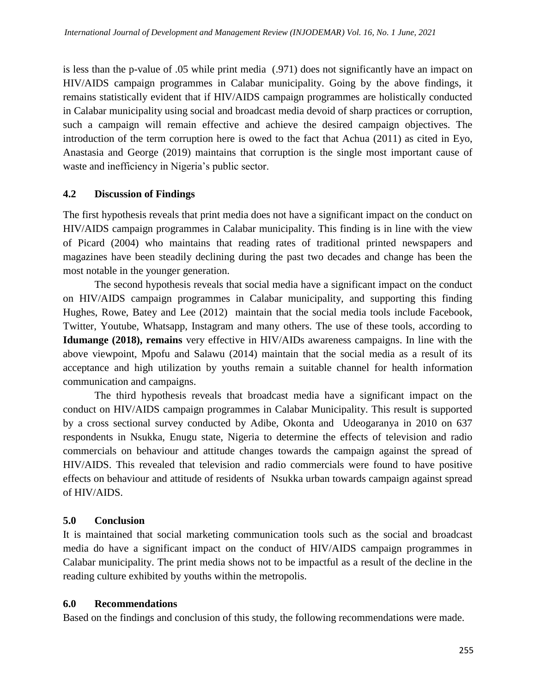is less than the p-value of .05 while print media (.971) does not significantly have an impact on HIV/AIDS campaign programmes in Calabar municipality. Going by the above findings, it remains statistically evident that if HIV/AIDS campaign programmes are holistically conducted in Calabar municipality using social and broadcast media devoid of sharp practices or corruption, such a campaign will remain effective and achieve the desired campaign objectives. The introduction of the term corruption here is owed to the fact that Achua (2011) as cited in Eyo, Anastasia and George (2019) maintains that corruption is the single most important cause of waste and inefficiency in Nigeria's public sector.

## **4.2 Discussion of Findings**

The first hypothesis reveals that print media does not have a significant impact on the conduct on HIV/AIDS campaign programmes in Calabar municipality. This finding is in line with the view of Picard (2004) who maintains that reading rates of traditional printed newspapers and magazines have been steadily declining during the past two decades and change has been the most notable in the younger generation.

The second hypothesis reveals that social media have a significant impact on the conduct on HIV/AIDS campaign programmes in Calabar municipality, and supporting this finding Hughes, Rowe, Batey and Lee (2012) maintain that the social media tools include Facebook, Twitter, Youtube, Whatsapp, Instagram and many others. The use of these tools, according to **Idumange (2018), remains** very effective in HIV/AIDs awareness campaigns. In line with the above viewpoint, Mpofu and Salawu (2014) maintain that the social media as a result of its acceptance and high utilization by youths remain a suitable channel for health information communication and campaigns.

The third hypothesis reveals that broadcast media have a significant impact on the conduct on HIV/AIDS campaign programmes in Calabar Municipality. This result is supported by a cross sectional survey conducted by Adibe, Okonta and Udeogaranya in 2010 on 637 respondents in Nsukka, Enugu state, Nigeria to determine the effects of television and radio commercials on behaviour and attitude changes towards the campaign against the spread of HIV/AIDS. This revealed that television and radio commercials were found to have positive effects on behaviour and attitude of residents of Nsukka urban towards campaign against spread of HIV/AIDS.

## **5.0 Conclusion**

It is maintained that social marketing communication tools such as the social and broadcast media do have a significant impact on the conduct of HIV/AIDS campaign programmes in Calabar municipality. The print media shows not to be impactful as a result of the decline in the reading culture exhibited by youths within the metropolis.

## **6.0 Recommendations**

Based on the findings and conclusion of this study, the following recommendations were made.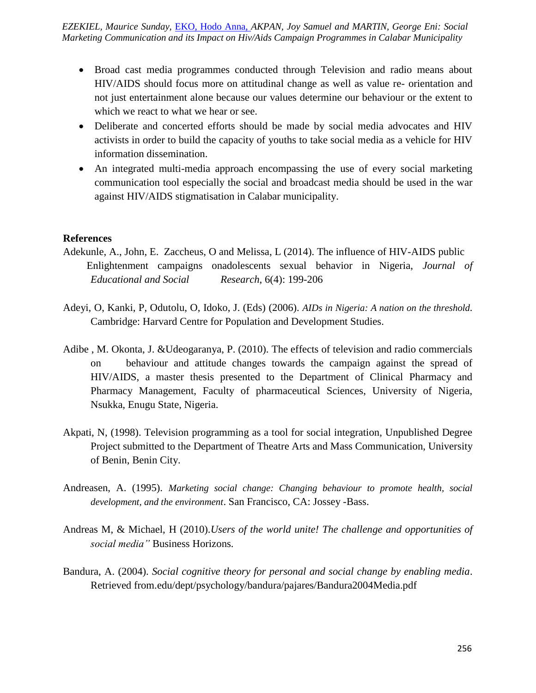*International Journal of Development and Management Review (INJODEMAR) Vol. 16, No. 1 June, 2021 Marketing Communication and its Impact on Hiv/Aids Campaign Programmes in Calabar Municipality EZEKIEL, Maurice Sunday,* EKO, Hodo Anna, *AKPAN, Joy Samuel and MARTIN, George Eni: Social* 

- Broad cast media programmes conducted through Television and radio means about HIV/AIDS should focus more on attitudinal change as well as value re- orientation and not just entertainment alone because our values determine our behaviour or the extent to which we react to what we hear or see.
- Deliberate and concerted efforts should be made by social media advocates and HIV activists in order to build the capacity of youths to take social media as a vehicle for HIV information dissemination.
- An integrated multi-media approach encompassing the use of every social marketing communication tool especially the social and broadcast media should be used in the war against HIV/AIDS stigmatisation in Calabar municipality.

### **References**

- Adekunle, A., John, E. Zaccheus, O and Melissa, L (2014). The influence of HIV-AIDS public Enlightenment campaigns onadolescents sexual behavior in Nigeria, *Journal of Educational and Social Research*, 6(4): 199-206
- Adeyi, O, Kanki, P, Odutolu, O, Idoko, J. (Eds) (2006). *AIDs in Nigeria: A nation on the threshold.*  Cambridge: Harvard Centre for Population and Development Studies.
- Adibe , M. Okonta, J. &Udeogaranya, P. (2010). The effects of television and radio commercials on behaviour and attitude changes towards the campaign against the spread of HIV/AIDS, a master thesis presented to the Department of Clinical Pharmacy and Pharmacy Management, Faculty of pharmaceutical Sciences, University of Nigeria, Nsukka, Enugu State, Nigeria.
- Akpati, N, (1998). Television programming as a tool for social integration, Unpublished Degree Project submitted to the Department of Theatre Arts and Mass Communication, University of Benin, Benin City.
- Andreasen, A. (1995). *Marketing social change: Changing behaviour to promote health, social development, and the environment*. San Francisco, CA: Jossey -Bass.
- Andreas M, & Michael, H (2010).*Users of the world unite! The challenge and opportunities of social media"* Business Horizons.
- Bandura, A. (2004). *Social cognitive theory for personal and social change by enabling media*. Retrieved from.edu/dept/psychology/bandura/pajares/Bandura2004Media.pdf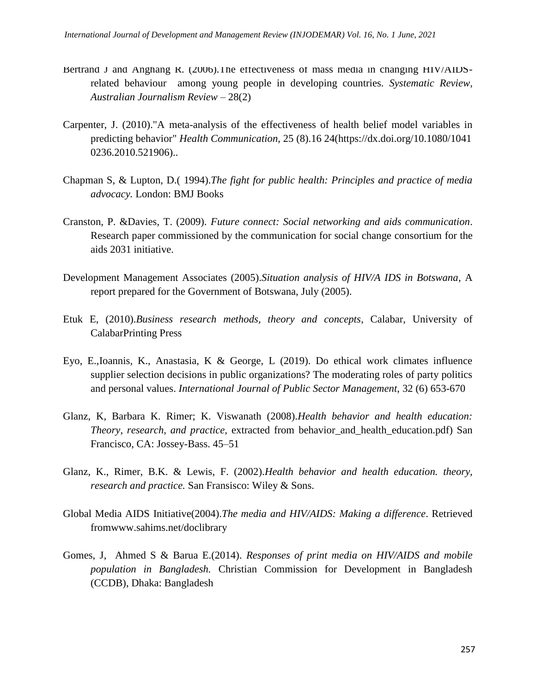- Bertrand J and Anghang R. (2006). The effectiveness of mass media in changing HIV/AIDSrelated behaviour among young people in developing countries. *Systematic Review, Australian Journalism Review* – 28(2)
- Carpenter, J. (2010)."A meta-analysis of the effectiveness of health belief model variables in predicting behavior" *Health Communication*, 25 (8).16 24(https://dx.doi.org/10.1080/1041 0236.2010.521906)..
- Chapman S, & Lupton, D.( 1994).*The fight for public health: Principles and practice of media advocacy.* London: BMJ Books
- Cranston, P. &Davies, T. (2009). *Future connect: Social networking and aids communication*. Research paper commissioned by the communication for social change consortium for the aids 2031 initiative.
- Development Management Associates (2005).*Situation analysis of HIV/A IDS in Botswana*, A report prepared for the Government of Botswana, July (2005).
- Etuk E, (2010).*Business research methods, theory and concepts*, Calabar, University of CalabarPrinting Press
- Eyo, E.,Ioannis, K., Anastasia, K & George, L (2019). Do ethical work climates influence supplier selection decisions in public organizations? The moderating roles of party politics and personal values. *International Journal of Public Sector Management*, 32 (6) 653-670
- Glanz, K, Barbara K. Rimer; K. Viswanath (2008).*Health behavior and health education: Theory, research, and practice,* extracted from behavior\_and\_health\_education.pdf) San Francisco, CA: Jossey-Bass. 45–51
- Glanz, K., Rimer, B.K. & Lewis, F. (2002).*Health behavior and health education. theory, research and practice.* San Fransisco: Wiley & Sons.
- Global Media AIDS Initiative(2004).*The media and HIV/AIDS: Making a difference*. Retrieved fromwww.sahims.net/doclibrary
- Gomes, J, Ahmed S & Barua E.(2014). *Responses of print media on HIV/AIDS and mobile population in Bangladesh.* Christian Commission for Development in Bangladesh (CCDB), Dhaka: Bangladesh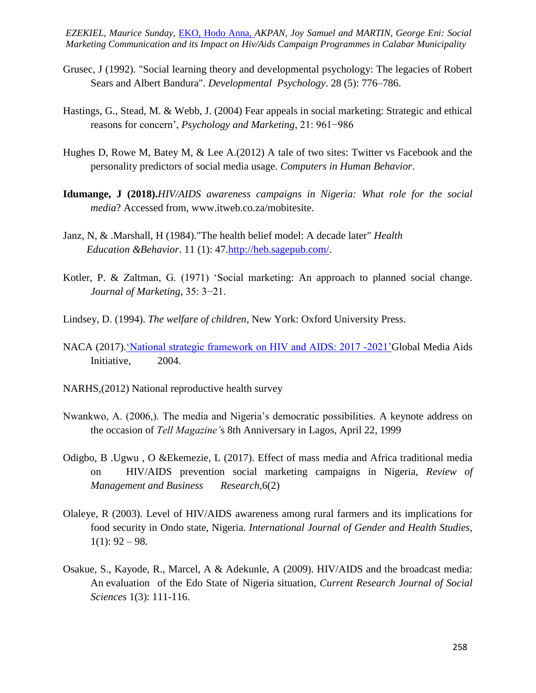*International Journal of Development and Management Review (INJODEMAR) Vol. 16, No. 1 June, 2021 EZEKIEL, Maurice Sunday,* EKO, Hodo Anna, *AKPAN, Joy Samuel and MARTIN, George Eni: Social Marketing Communication and its Impact on Hiv/Aids Campaign Programmes in Calabar Municipality*

- Grusec, J (1992). "Social learning theory and developmental psychology: The legacies of Robert Sears and Albert Bandura". *Developmental Psychology*. 28 (5): 776–786.
- Hastings, G., Stead, M. & Webb, J. (2004) Fear appeals in social marketing: Strategic and ethical reasons for concern', *Psychology and Marketing*, 21: 961−986
- Hughes D, Rowe M, Batey M, & Lee A.(2012) A tale of two sites: Twitter vs Facebook and the personality predictors of social media usage. *Computers in Human Behavior*.
- **Idumange, J (2018).***HIV/AIDS awareness campaigns in Nigeria: What role for the social media*? Accessed from, www.itweb.co.za/mobitesite.
- Janz, N, & .Marshall, H (1984)."The health belief model: A decade later" *Health Education &Behavior*. 11 (1): 47[.http://heb.sagepub.com/.](http://heb.sagepub.com/)
- Kotler, P. & Zaltman, G. (1971) 'Social marketing: An approach to planned social change. *Journal of Marketing,* 35: 3−21.
- Lindsey, D. (1994). *The welfare of children*, New York: Oxford University Press.
- NACA (2017). *National strategic framework on HIV and AIDS: 2017 -2021* Global Media Aids Initiative, 2004.
- NARHS,(2012) National reproductive health survey
- Nwankwo, A. (2006,). The media and Nigeria's democratic possibilities. A keynote address on the occasion of *Tell Magazine'*s 8th Anniversary in Lagos, April 22, 1999
- Odigbo, B .Ugwu , O &Ekemezie, L (2017). Effect of mass media and Africa traditional media on HIV/AIDS prevention social marketing campaigns in Nigeria, *Review of Management and Business Research*,6(2)
- Olaleye, R (2003). Level of HIV/AIDS awareness among rural farmers and its implications for food security in Ondo state, Nigeria. *International Journal of Gender and Health Studies*,  $1(1): 92 - 98.$
- Osakue, S., Kayode, R., Marcel, A & Adekunle, A (2009). HIV/AIDS and the broadcast media: An evaluation of the Edo State of Nigeria situation, *Current Research Journal of Social Sciences* 1(3): 111-116.